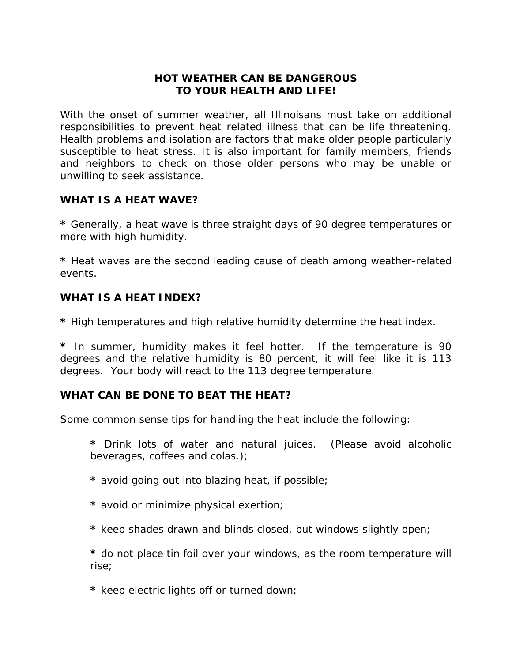#### **HOT WEATHER CAN BE DANGEROUS TO YOUR HEALTH AND LIFE!**

With the onset of summer weather, all Illinoisans must take on additional responsibilities to prevent heat related illness that can be life threatening. Health problems and isolation are factors that make older people particularly susceptible to heat stress. It is also important for family members, friends and neighbors to check on those older persons who may be unable or unwilling to seek assistance.

## **WHAT IS A HEAT WAVE?**

**\*** Generally, a heat wave is three straight days of 90 degree temperatures or more with high humidity.

**\*** Heat waves are the second leading cause of death among weather-related events.

## **WHAT IS A HEAT INDEX?**

**\*** High temperatures and high relative humidity determine the heat index.

**\*** In summer, humidity makes it feel hotter. If the temperature is 90 degrees and the relative humidity is 80 percent, it will feel like it is 113 degrees. Your body will react to the 113 degree temperature.

#### **WHAT CAN BE DONE TO BEAT THE HEAT?**

Some common sense tips for handling the heat include the following:

**\*** Drink lots of water and natural juices. (Please avoid alcoholic beverages, coffees and colas.);

- **\*** avoid going out into blazing heat, if possible;
- **\*** avoid or minimize physical exertion;
- **\*** keep shades drawn and blinds closed, but windows slightly open;

**\*** do not place tin foil over your windows, as the room temperature will rise;

**\*** keep electric lights off or turned down;